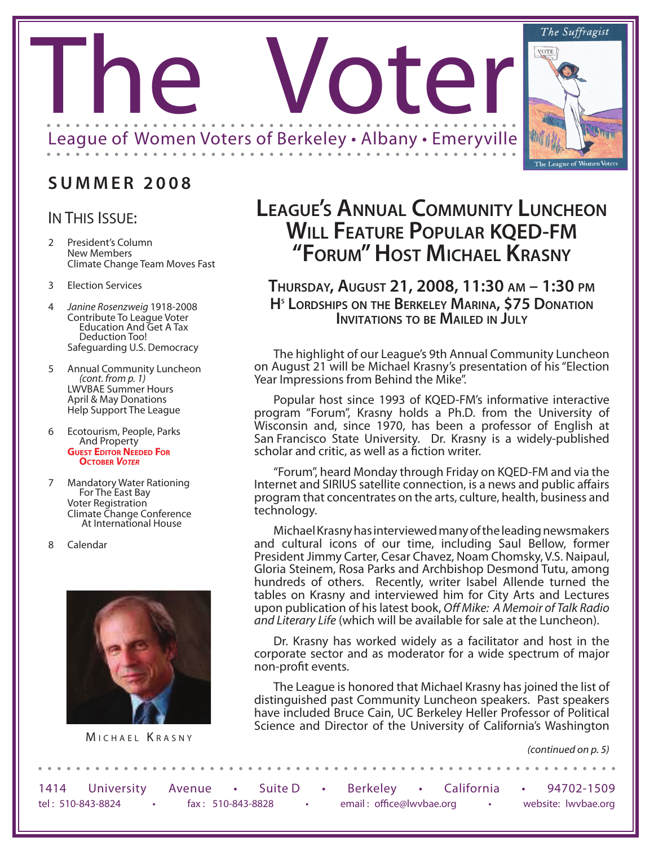

## **S U M M E R 2 0 0 8**

#### IN THIS ISSUE:

- 2 President's Column New Members Climate Change Team Moves Fast
- 3 Election Services
- 4 *Janine Rosenzweig* 1918-2008 Contribute To League Voter Education And Get A Tax Deduction Too! Safeguarding U.S. Democracy
- <sup>5</sup> Annual Community Luncheon *(cont. from p. 1)* LWVBAE Summer Hours April & May Donations Help Support The League
- <sup>6</sup> Ecotourism, People, Parks And Property **GUEST EDITOR NEEDED FOR October** *Voter*
- <sup>7</sup> Mandatory Water Rationing For The East Bay Voter Registration Climate Change Conference At International House
- 8 Calendar



# **League's Annual Community Luncheon Will Feature Popular KQED-FM "Forum" Host Michael Krasny**

#### **Thursday, August 21, 2008, 11:30 am – 1:30 pm Hs Lordships on the Berkeley Marina, \$75 Donation Invitations to be Mailed in July**

The highlight of our League's 9th Annual Community Luncheon on August 21 will be Michael Krasny's presentation of his "Election Year Impressions from Behind the Mike".

Popular host since 1993 of KQED-FM's informative interactive program "Forum", Krasny holds a Ph.D. from the University of Wisconsin and, since 1970, has been a professor of English at San Francisco State University. Dr. Krasny is a widely-published scholar and critic, as well as a fiction writer.

"Forum", heard Monday through Friday on KQED-FM and via the Internet and SIRIUS satellite connection, is a news and public affairs program that concentrates on the arts, culture, health, business and technology.

Michael Krasny has interviewed many of the leading newsmakers and cultural icons of our time, including Saul Bellow, former President Jimmy Carter, Cesar Chavez, Noam Chomsky, V.S. Naipaul, Gloria Steinem, Rosa Parks and Archbishop Desmond Tutu, among hundreds of others. Recently, writer Isabel Allende turned the tables on Krasny and interviewed him for City Arts and Lectures upon publication of his latest book, *Off Mike: A Memoir of Talk Radio and Literary Life* (which will be available for sale at the Luncheon).

Dr. Krasny has worked widely as a facilitator and host in the corporate sector and as moderator for a wide spectrum of major non-profit events.

The League is honored that Michael Krasny has joined the list of distinguished past Community Luncheon speakers. Past speakers have included Bruce Cain, UC Berkeley Heller Professor of Political Science and Director of the University of California's Washington MICHAEL KRASNY

*(continued on p. 5)*

|                   | 1414 University Avenue |                   | Suite D |  | Berkeley • California    |  | 94702-1509          |
|-------------------|------------------------|-------------------|---------|--|--------------------------|--|---------------------|
| tel: 510-843-8824 |                        | fax: 510-843-8828 |         |  | email: office@lwvbae.org |  | website: lwvbae.org |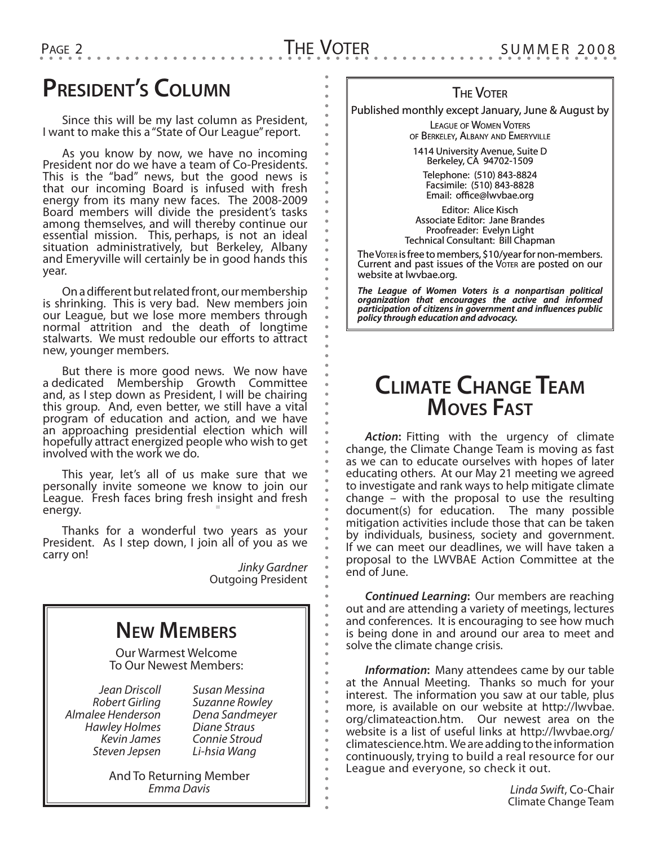# **President's Column**

Since this will be my last column as President, I want to make this a "State of Our League" report.

As you know by now, we have no incoming President nor do we have a team of Co-Presidents. This is the "bad" news, but the good news is that our incoming Board is infused with fresh energy from its many new faces. The 2008-2009 Board members will divide the president's tasks among themselves, and will thereby continue our essential mission. This, perhaps, is not an ideal situation administratively, but Berkeley, Albany and Emeryville will certainly be in good hands this year.

On a different but related front, our membership is shrinking. This is very bad. New members join our League, but we lose more members through normal attrition and the death of longtime stalwarts. We must redouble our efforts to attract new, younger members.

But there is more good news. We now have a dedicated Membership Growth Committee and, as I step down as President, I will be chairing this group. And, even better, we still have a vital program of education and action, and we have an approaching presidential election which will hopefully attract energized people who wish to get involved with the work we do.

This year, let's all of us make sure that we personally invite someone we know to join our League. Fresh faces bring fresh insight and fresh energy.

Thanks for a wonderful two years as your President. As I step down, I join all of you as we carry on!

> *Jinky Gardner* Outgoing President

# **New Members**

Our Warmest Welcome To Our Newest Members:

*Jean Driscoll Robert Girling Almalee Henderson Hawley Holmes Kevin James Steven Jepsen*

*Susan Messina Suzanne Rowley Dena Sandmeyer Diane Straus Connie Stroud Li-hsia Wang*

And To Returning Member *Emma Davis*

#### **THE VOTER**

Published monthly except January, June & August by

League of Women Voters of Berkeley, Albany and Emeryville

1414 University Avenue, Suite D Berkeley, CA 94702-1509

Telephone: (510) 843-8824 Facsimile: (510) 843-8828 Email: office@lwvbae.org

Editor: Alice Kisch Associate Editor: Jane Brandes Proofreader: Evelyn Light Technical Consultant: Bill Chapman

The Voter is free to members, \$10/year for non-members. Current and past issues of the Voter are posted on our website at lwvbae.org.

*The League of Women Voters is a nonpartisan political organization that encourages the active and informed participation of citizens in government and influences public policy through education and advocacy.*

# **Climate Change Team Moves Fast**

*Action***:** Fitting with the urgency of climate change, the Climate Change Team is moving as fast as we can to educate ourselves with hopes of later educating others. At our May 21 meeting we agreed to investigate and rank ways to help mitigate climate change – with the proposal to use the resulting document(s) for education. The many possible mitigation activities include those that can be taken by individuals, business, society and government. If we can meet our deadlines, we will have taken a proposal to the LWVBAE Action Committee at the end of June.

*Continued Learning***:** Our members are reaching out and are attending a variety of meetings, lectures and conferences. It is encouraging to see how much is being done in and around our area to meet and solve the climate change crisis.

*Information***:** Many attendees came by our table at the Annual Meeting. Thanks so much for your interest. The information you saw at our table, plus more, is available on our website at http://lwvbae. org/climateaction.htm. Our newest area on the website is a list of useful links at http://lwvbae.org/ climatescience.htm. We are adding to the information continuously, trying to build a real resource for our League and everyone, so check it out.

> *Linda Swift*, Co-Chair Climate Change Team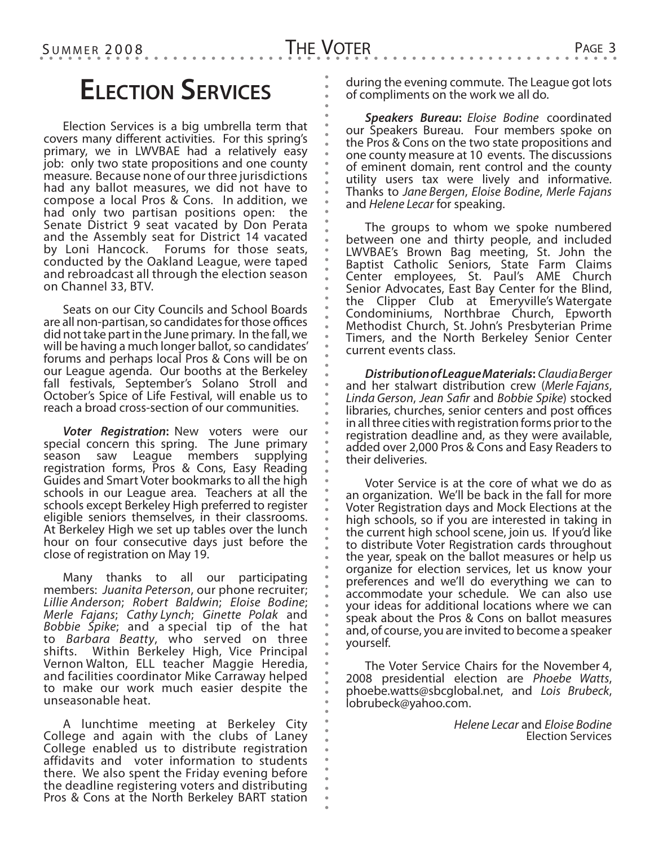# **Election Services**

Election Services is a big umbrella term that covers many different activities. For this spring's primary, we in LWVBAE had a relatively easy job: only two state propositions and one county measure. Because none of our three jurisdictions had any ballot measures, we did not have to compose a local Pros & Cons. In addition, we had only two partisan positions open: the Senate District 9 seat vacated by Don Perata and the Assembly seat for District 14 vacated by Loni Hancock. Forums for those seats, conducted by the Oakland League, were taped and rebroadcast all through the election season on Channel 33, BTV.

Seats on our City Councils and School Boards are all non-partisan, so candidates for those offices did not take part in the June primary. In the fall, we will be having a much longer ballot, so candidates' forums and perhaps local Pros & Cons will be on our League agenda. Our booths at the Berkeley fall festivals, September's Solano Stroll and October's Spice of Life Festival, will enable us to reach a broad cross-section of our communities.

*Voter Registration***:** New voters were our special concern this spring. The June primary season saw League members supplying registration forms, Pros & Cons, Easy Reading Guides and Smart Voter bookmarks to all the high schools in our League area. Teachers at all the schools except Berkeley High preferred to register eligible seniors themselves, in their classrooms. At Berkeley High we set up tables over the lunch hour on four consecutive days just before the close of registration on May 19.

Many thanks to all our participating members: *Juanita Peterson*, our phone recruiter; *Lillie Anderson*; *Robert Baldwin*; *Eloise Bodine*; *Merle Fajans*; *Cathy Lynch*; *Ginette Polak* and *Bobbie Spike*; and a special tip of the hat to *Barbara Beatty*, who served on three shifts. Within Berkeley High, Vice Principal Vernon Walton, ELL teacher Maggie Heredia, and facilities coordinator Mike Carraway helped to make our work much easier despite the unseasonable heat.

A lunchtime meeting at Berkeley City College and again with the clubs of Laney College enabled us to distribute registration affidavits and voter information to students there. We also spent the Friday evening before the deadline registering voters and distributing Pros & Cons at the North Berkeley BART station

during the evening commute. The League got lots of compliments on the work we all do.

*Speakers Bureau***:** *Eloise Bodine* coordinated our Speakers Bureau. Four members spoke on the Pros & Cons on the two state propositions and one county measure at 10 events. The discussions of eminent domain, rent control and the county utility users tax were lively and informative. Thanks to *Jane Bergen*, *Eloise Bodine*, *Merle Fajans* and *Helene Lecar* for speaking.

The groups to whom we spoke numbered between one and thirty people, and included LWVBAE's Brown Bag meeting, St. John the Baptist Catholic Seniors, State Farm Claims Center employees, St. Paul's AME Church Senior Advocates, East Bay Center for the Blind, the Clipper Club at Emeryville's Watergate Condominiums, Northbrae Church, Epworth Methodist Church, St. John's Presbyterian Prime Timers, and the North Berkeley Senior Center current events class.

*Distribution of League Materials***:** *Claudia Berger*  and her stalwart distribution crew (*Merle Fajans*, *Linda Gerson*, *Jean Safir* and *Bobbie Spike*) stocked libraries, churches, senior centers and post offices in all three cities with registration forms prior to the registration deadline and, as they were available, added over 2,000 Pros & Cons and Easy Readers to their deliveries.

Voter Service is at the core of what we do as an organization. We'll be back in the fall for more Voter Registration days and Mock Elections at the high schools, so if you are interested in taking in the current high school scene, join us. If you'd like to distribute Voter Registration cards throughout the year, speak on the ballot measures or help us organize for election services, let us know your preferences and we'll do everything we can to accommodate your schedule. We can also use your ideas for additional locations where we can speak about the Pros & Cons on ballot measures and, of course, you are invited to become a speaker yourself.

The Voter Service Chairs for the November 4,<br>2008 presidential election are *Phoebe Watts*, phoebe.watts@sbcglobal.net, and *Lois Brubeck*, *phoebe.watts@sbcglobal.net*, and *Lois Brubeck*,

> *Helene Lecar* and *Eloise Bodine* Election Services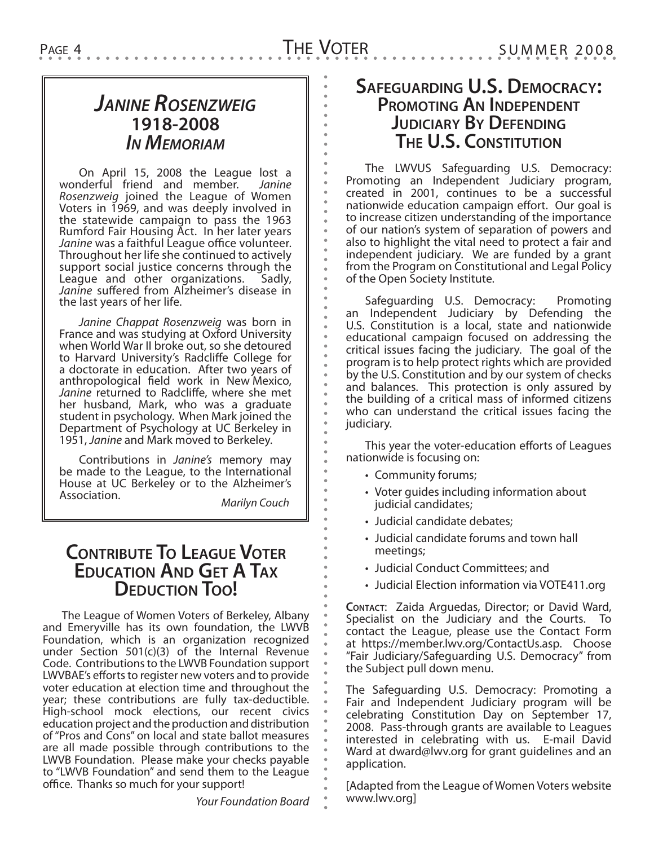## *Janine Rosenzweig* **1918-2008** *In Memoriam*

On April 15, 2008 the League lost a wonderful friend and member. *Janine Rosenzweig* joined the League of Women Voters in 1969, and was deeply involved in the statewide campaign to pass the 1963 Rumford Fair Housing Act. In her later years *Janine* was a faithful League office volunteer. Throughout her life she continued to actively support social justice concerns through the League and other organizations. Sadly, *Janine* suffered from Alzheimer's disease in the last years of her life.

*Janine Chappat Rosenzweig* was born in France and was studying at Oxford University when World War II broke out, so she detoured to Harvard University's Radcliffe College for a doctorate in education. After two years of anthropological field work in New Mexico, *Janine* returned to Radcliffe, where she met her husband, Mark, who was a graduate student in psychology. When Mark joined the Department of Psychology at UC Berkeley in 1951, *Janine* and Mark moved to Berkeley.

Contributions in *Janine's* memory may be made to the League, to the International House at UC Berkeley or to the Alzheimer's Association. *Marilyn Couch*

**Contribute To League Voter**

**Education And Get A Tax DEDUCTION TOO!** 

The League of Women Voters of Berkeley, Albany and Emeryville has its own foundation, the LWVB Foundation, which is an organization recognized under Section 501(c)(3) of the Internal Revenue Code. Contributions to the LWVB Foundation support LWVBAE's efforts to register new voters and to provide voter education at election time and throughout the year; these contributions are fully tax-deductible. High-school mock elections, our recent civics education project and the production and distribution of "Pros and Cons" on local and state ballot measures are all made possible through contributions to the LWVB Foundation. Please make your checks payable to "LWVB Foundation" and send them to the League office. Thanks so much for your support!

#### **Safeguarding U.S. Democracy: Promoting An Independent JUDICIARY BY DEFENDING The U.S. Constitution**

The LWVUS Safeguarding U.S. Democracy: Promoting an Independent Judiciary program, created in 2001, continues to be a successful nationwide education campaign effort. Our goal is to increase citizen understanding of the importance of our nation's system of separation of powers and also to highlight the vital need to protect a fair and independent judiciary. We are funded by a grant from the Program on Constitutional and Legal Policy of the Open Society Institute.

Safeguarding U.S. Democracy: Promoting an Independent Judiciary by Defending the U.S. Constitution is a local, state and nationwide educational campaign focused on addressing the critical issues facing the judiciary. The goal of the program is to help protect rights which are provided by the U.S. Constitution and by our system of checks and balances. This protection is only assured by the building of a critical mass of informed citizens who can understand the critical issues facing the judiciary.

This year the voter-education efforts of Leagues nationwide is focusing on:

- Community forums;
- Voter guides including information about judicial candidates;
- Judicial candidate debates;
- Judicial candidate forums and town hall meetings;
- Judicial Conduct Committees; and
- Judicial Election information via VOTE411.org

**Contact**: Zaida Arguedas, Director; or David Ward, Specialist on the Judiciary and the Courts. To contact the League, please use the Contact Form at https://member.lwv.org/ContactUs.asp. Choose "Fair Judiciary/Safeguarding U.S. Democracy" from the Subject pull down menu.

The Safeguarding U.S. Democracy: Promoting a Fair and Independent Judiciary program will be celebrating Constitution Day on September 17, 2008. Pass-through grants are available to Leagues interested in celebrating with us. E-mail David Ward at dward@lwv.org for grant guidelines and an application.

[Adapted from the League of Women Voters website www.lwv.org]

*Your Foundation Board*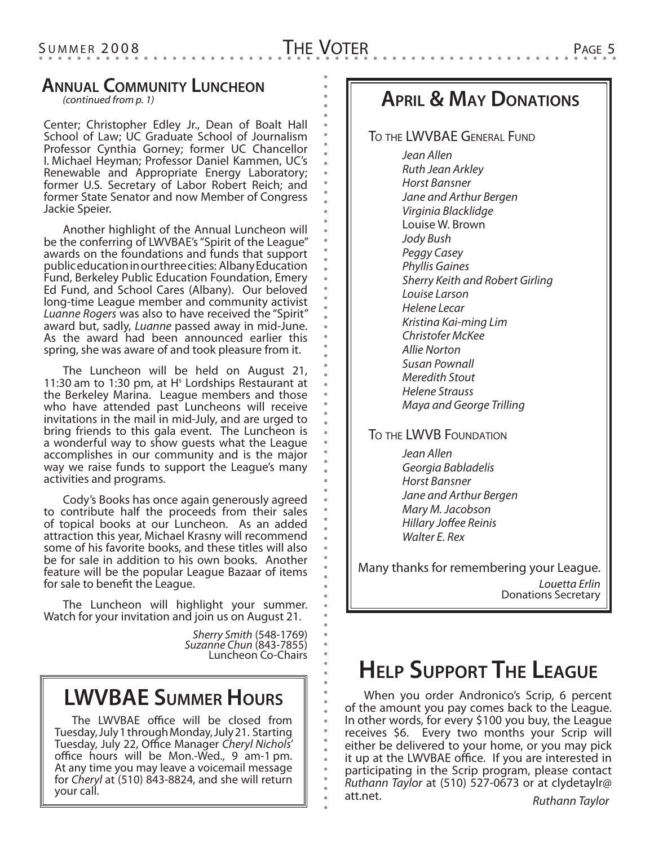#### **Annual Community Luncheon**

*(continued from p. 1)*

Center; Christopher Edley Jr., Dean of Boalt Hall School of Law; UC Graduate School of Journalism Professor Cynthia Gorney; former UC Chancellor I. Michael Heyman; Professor Daniel Kammen, UC's Renewable and Appropriate Energy Laboratory; former U.S. Secretary of Labor Robert Reich; and former State Senator and now Member of Congress Jackie Speier.

Another highlight of the Annual Luncheon will be the conferring of LWVBAE's "Spirit of the League" awards on the foundations and funds that support public education in our three cities: Albany Education Fund, Berkeley Public Education Foundation, Emery Ed Fund, and School Cares (Albany). Our beloved long-time League member and community activist *Luanne Rogers* was also to have received the "Spirit" award but, sadly, *Luanne* passed away in mid-June. As the award had been announced earlier this spring, she was aware of and took pleasure from it.

The Luncheon will be held on August 21, 11:30 am to 1:30 pm, at  $H<sup>s</sup>$  Lordships Restaurant at the Berkeley Marina. League members and those who have attended past Luncheons will receive invitations in the mail in mid-July, and are urged to bring friends to this gala event. The Luncheon is a wonderful way to show guests what the League accomplishes in our community and is the major way we raise funds to support the League's many activities and programs.

Cody's Books has once again generously agreed to contribute half the proceeds from their sales of topical books at our Luncheon. As an added attraction this year, Michael Krasny will recommend some of his favorite books, and these titles will also be for sale in addition to his own books. Another feature will be the popular League Bazaar of items for sale to benefit the League.

The Luncheon will highlight your summer. Watch for your invitation and join us on August 21.

> *Sherry Smith* (548-1769) *Suzanne Chun* (843-7855) Luncheon Co-Chairs

## **LWVBAE Summer Hours**

The LWVBAE office will be closed from Tuesday, July 1 through Monday, July 21. Starting Tuesday, July 22, Office Manager *Cheryl Nichols*' office hours will be Mon.-Wed., 9 am-1 pm. At any time you may leave a voicemail message for *Cheryl* at (510) 843-8824, and she will return your call.

## **April & May Donations**

To the LWVBAE General Fund

*Jean Allen Ruth Jean Arkley Horst Bansner Jane and Arthur Bergen Virginia Blacklidge* Louise W. Brown *Jody Bush Peggy Casey Phyllis Gaines Sherry Keith and Robert Girling Louise Larson Helene Lecar Kristina Kai-ming Lim Christofer McKee Allie Norton Susan Pownall Meredith Stout Helene Strauss Maya and George Trilling*

To the LWVB Foundation

*Jean Allen Georgia Babladelis Horst Bansner Jane and Arthur Bergen Mary M. Jacobson Hillary Joffee Reinis Walter E. Rex*

*Louetta Erlin* Donations Secretary Many thanks for remembering your League.

# **Help Support The League**

When you order Andronico's Scrip, 6 percent of the amount you pay comes back to the League. In other words, for every \$100 you buy, the League receives \$6. Every two months your Scrip will either be delivered to your home, or you may pick it up at the LWVBAE office. If you are interested in participating in the Scrip program, please contact *Ruthann Taylor* at (510) 527-0673 or at clydetaylr@ att.net. *Ruthann Taylor*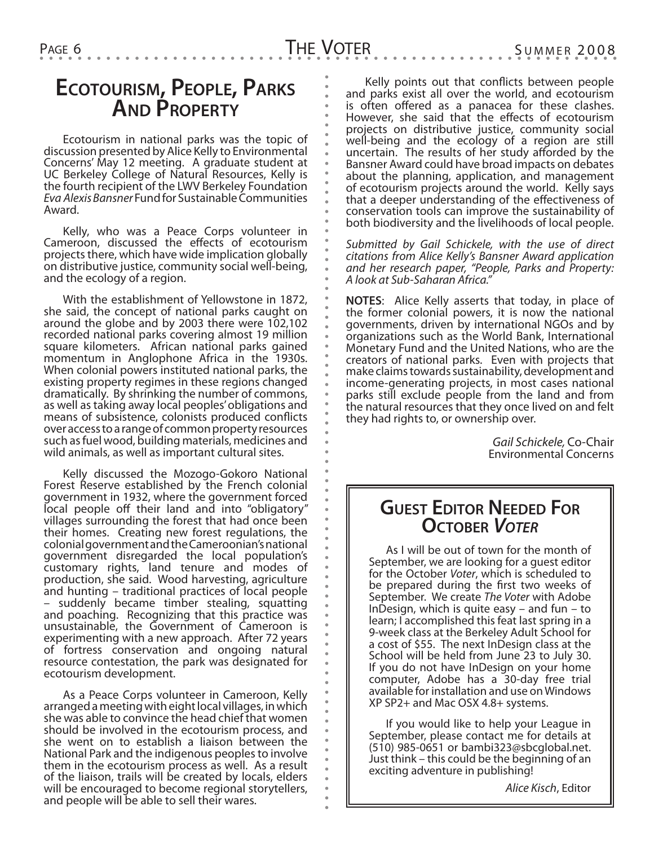## **Ecotourism, People, Parks And Property**

Ecotourism in national parks was the topic of discussion presented by Alice Kelly to Environmental Concerns' May 12 meeting. A graduate student at UC Berkeley College of Natural Resources, Kelly is the fourth recipient of the LWV Berkeley Foundation *Eva Alexis Bansner* Fund for Sustainable Communities Award.

Kelly, who was a Peace Corps volunteer in Cameroon, discussed the effects of ecotourism projects there, which have wide implication globally on distributive justice, community social well-being, and the ecology of a region.

With the establishment of Yellowstone in 1872, she said, the concept of national parks caught on around the globe and by 2003 there were 102,102 recorded national parks covering almost 19 million square kilometers. African national parks gained momentum in Anglophone Africa in the 1930s. When colonial powers instituted national parks, the existing property regimes in these regions changed dramatically. By shrinking the number of commons, as well as taking away local peoples' obligations and means of subsistence, colonists produced conflicts over access to a range of common property resources such as fuel wood, building materials, medicines and wild animals, as well as important cultural sites.

Kelly discussed the Mozogo-Gokoro National Forest Reserve established by the French colonial government in 1932, where the government forced local people off their land and into "obligatory" villages surrounding the forest that had once been their homes. Creating new forest regulations, the colonial government and the Cameroonian's national government disregarded the local population's customary rights, land tenure and modes of production, she said. Wood harvesting, agriculture and hunting – traditional practices of local people suddenly became timber stealing, squatting and poaching. Recognizing that this practice was unsustainable, the Government of Cameroon is experimenting with a new approach. After 72 years of fortress conservation and ongoing natural resource contestation, the park was designated for ecotourism development.

As a Peace Corps volunteer in Cameroon, Kelly arranged a meeting with eight local villages, in which she was able to convince the head chief that women should be involved in the ecotourism process, and she went on to establish a liaison between the National Park and the indigenous peoples to involve them in the ecotourism process as well. As a result of the liaison, trails will be created by locals, elders will be encouraged to become regional storytellers, and people will be able to sell their wares.

Kelly points out that conflicts between people and parks exist all over the world, and ecotourism is often offered as a panacea for these clashes. However, she said that the effects of ecotourism projects on distributive justice, community social well-being and the ecology of a region are still uncertain. The results of her study afforded by the Bansner Award could have broad impacts on debates about the planning, application, and management of ecotourism projects around the world. Kelly says that a deeper understanding of the effectiveness of conservation tools can improve the sustainability of both biodiversity and the livelihoods of local people.

*Submitted by Gail Schickele, with the use of direct citations from Alice Kelly's Bansner Award application and her research paper, "People, Parks and Property: A look at Sub-Saharan Africa."*

**NOTES**: Alice Kelly asserts that today, in place of the former colonial powers, it is now the national governments, driven by international NGOs and by organizations such as the World Bank, International Monetary Fund and the United Nations, who are the creators of national parks. Even with projects that make claims towards sustainability, development and income-generating projects, in most cases national parks still exclude people from the land and from the natural resources that they once lived on and felt they had rights to, or ownership over.

> *Gail Schickele,* Co-Chair Environmental Concerns

### **Guest Editor Needed For October** *Voter*

As I will be out of town for the month of September, we are looking for a guest editor for the October *Voter*, which is scheduled to be prepared during the first two weeks of September. We create *The Voter* with Adobe InDesign, which is quite easy – and fun – to learn; I accomplished this feat last spring in a 9-week class at the Berkeley Adult School for a cost of \$55. The next InDesign class at the School will be held from June 23 to July 30. If you do not have InDesign on your home computer, Adobe has a 30-day free trial available for installation and use on Windows XP SP2+ and Mac OSX 4.8+ systems.

If you would like to help your League in September, please contact me for details at (510) 985-0651 or bambi323@sbcglobal.net. Just think – this could be the beginning of an exciting adventure in publishing!

*Alice Kisch*, Editor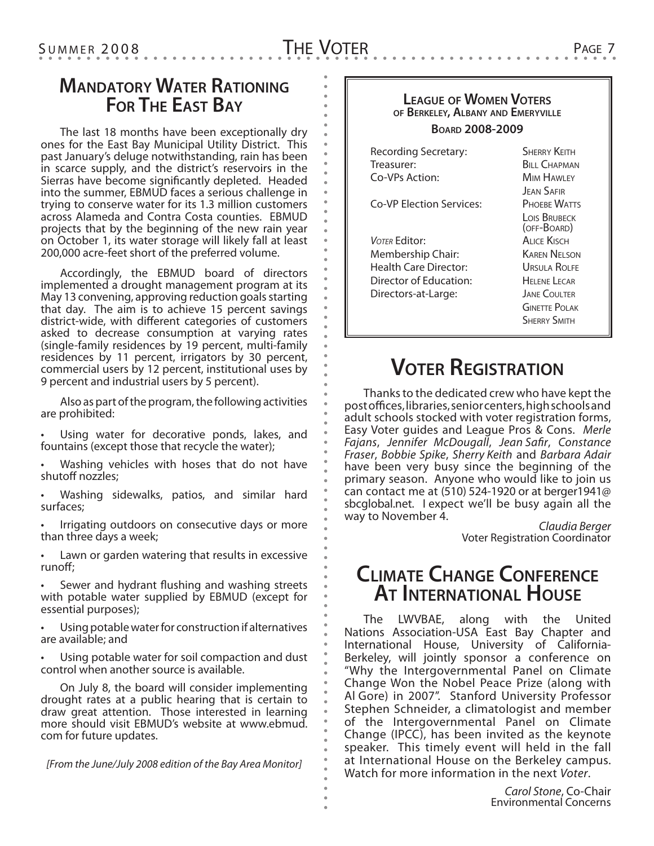### **Mandatory Water Rationing For The East Bay**

The last 18 months have been exceptionally dry ones for the East Bay Municipal Utility District. This past January's deluge notwithstanding, rain has been in scarce supply, and the district's reservoirs in the Sierras have become significantly depleted. Headed into the summer, EBMUD faces a serious challenge in trying to conserve water for its 1.3 million customers across Alameda and Contra Costa counties. EBMUD projects that by the beginning of the new rain year on October 1, its water storage will likely fall at least 200,000 acre-feet short of the preferred volume.

Accordingly, the EBMUD board of directors implemented a drought management program at its May 13 convening, approving reduction goals starting that day. The aim is to achieve 15 percent savings district-wide, with different categories of customers asked to decrease consumption at varying rates (single-family residences by 19 percent, multi-family residences by 11 percent, irrigators by 30 percent, commercial users by 12 percent, institutional uses by 9 percent and industrial users by 5 percent).

Also as part of the program, the following activities are prohibited:

Using water for decorative ponds, lakes, and fountains (except those that recycle the water);

Washing vehicles with hoses that do not have shutoff nozzles;

• Washing sidewalks, patios, and similar hard surfaces;

Irrigating outdoors on consecutive days or more than three days a week;

Lawn or garden watering that results in excessive runoff;

Sewer and hydrant flushing and washing streets with potable water supplied by EBMUD (except for essential purposes);

Using potable water for construction if alternatives are available; and

Using potable water for soil compaction and dust control when another source is available.

On July 8, the board will consider implementing drought rates at a public hearing that is certain to draw great attention. Those interested in learning more should visit EBMUD's website at www.ebmud. com for future updates.

*[From the June/July 2008 edition of the Bay Area Monitor]*

#### **League of Women Voters of Berkeley, Albany and Emeryville**

#### **Board 2008-2009**

| Recording Secretary:     | <b>SHERRY KEITH</b>                |
|--------------------------|------------------------------------|
| Treasurer:               | <b>BILL CHAPMAN</b>                |
| Co-VPs Action:           | <b>MIM HAWLEY</b>                  |
|                          | <b>JEAN SAFIR</b>                  |
| Co-VP Election Services: | <b>PHOFRE WATTS</b>                |
|                          | <b>LOIS BRUBECK</b><br>(OFF-BOARD) |
| VOTER Editor:            | ALICE KISCH                        |
| Membership Chair:        | <b>KAREN NEI SON</b>               |
| Health Care Director:    | URSULA ROLEE                       |
| Director of Education:   | HEI ENE LECAR                      |
| Directors-at-Large:      | <b>JANE COULTER</b>                |
|                          | <b>GINETTE POI AK</b>              |
|                          | <b>SHERRY SMITH</b>                |
|                          |                                    |

## **Voter Registration**

Thanks to the dedicated crew who have kept the post offices, libraries, senior centers, high schools and adult schools stocked with voter registration forms, Easy Voter guides and League Pros & Cons. *Merle Fajans*, *Jennifer McDougall*, *Jean Safir*, *Constance Fraser*, *Bobbie Spike*, *Sherry Keith* and *Barbara Adair*  have been very busy since the beginning of the primary season. Anyone who would like to join us can contact me at (510) 524-1920 or at berger1941@ sbcglobal.net. I expect we'll be busy again all the way to November 4. *Claudia Berger*

Voter Registration Coordinator

### **Climate Change Conference At International House**

The LWVBAE, along with the United Nations Association-USA East Bay Chapter and International House, University of California-Berkeley, will jointly sponsor a conference on "Why the Intergovernmental Panel on Climate Change Won the Nobel Peace Prize (along with Al Gore) in 2007". Stanford University Professor Stephen Schneider, a climatologist and member of the Intergovernmental Panel on Climate Change (IPCC), has been invited as the keynote speaker. This timely event will held in the fall at International House on the Berkeley campus. Watch for more information in the next *Voter*.

> *Carol Stone*, Co-Chair Environmental Concerns